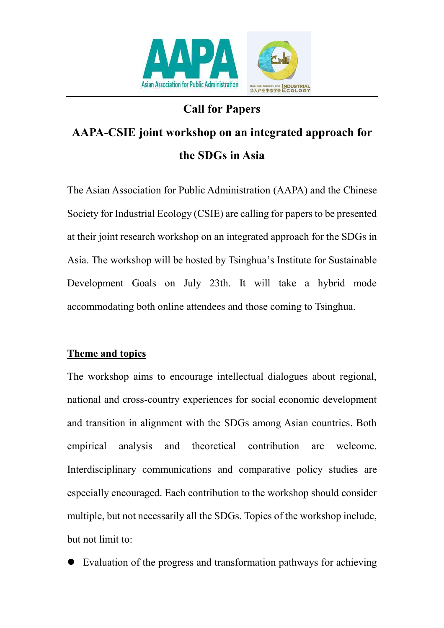

## **Call for Papers**

# **AAPA-CSIE joint workshop on an integrated approach for the SDGs in Asia**

The Asian Association for Public Administration (AAPA) and the Chinese Society for Industrial Ecology (CSIE) are calling for papers to be presented at their joint research workshop on an integrated approach for the SDGs in Asia. The workshop will be hosted by Tsinghua's Institute for Sustainable Development Goals on July 23th. It will take a hybrid mode accommodating both online attendees and those coming to Tsinghua.

#### **Theme and topics**

The workshop aims to encourage intellectual dialogues about regional, national and cross-country experiences for social economic development and transition in alignment with the SDGs among Asian countries. Both empirical analysis and theoretical contribution are welcome. Interdisciplinary communications and comparative policy studies are especially encouraged. Each contribution to the workshop should consider multiple, but not necessarily all the SDGs. Topics of the workshop include, but not limit to:

• Evaluation of the progress and transformation pathways for achieving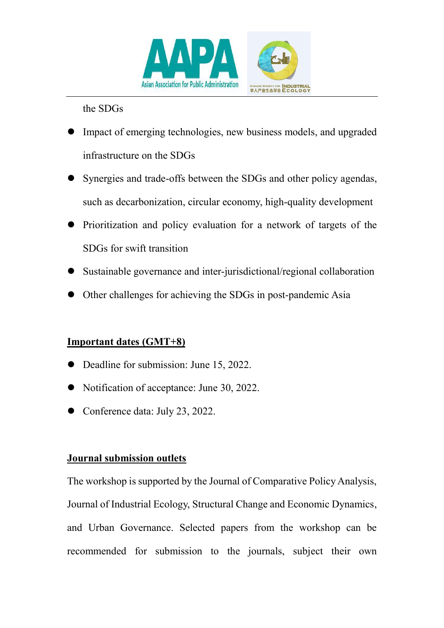

the SDGs

- Impact of emerging technologies, new business models, and upgraded infrastructure on the SDGs
- Synergies and trade-offs between the SDGs and other policy agendas, such as decarbonization, circular economy, high-quality development
- Prioritization and policy evaluation for a network of targets of the SDGs for swift transition
- Sustainable governance and inter-jurisdictional/regional collaboration
- Other challenges for achieving the SDGs in post-pandemic Asia

#### **Important dates (GMT+8)**

- Deadline for submission: June 15, 2022.
- Notification of acceptance: June 30, 2022.
- Conference data: July 23, 2022.

#### **Journal submission outlets**

The workshop is supported by the Journal of Comparative Policy Analysis, Journal of Industrial Ecology, Structural Change and Economic Dynamics, and Urban Governance. Selected papers from the workshop can be recommended for submission to the journals, subject their own